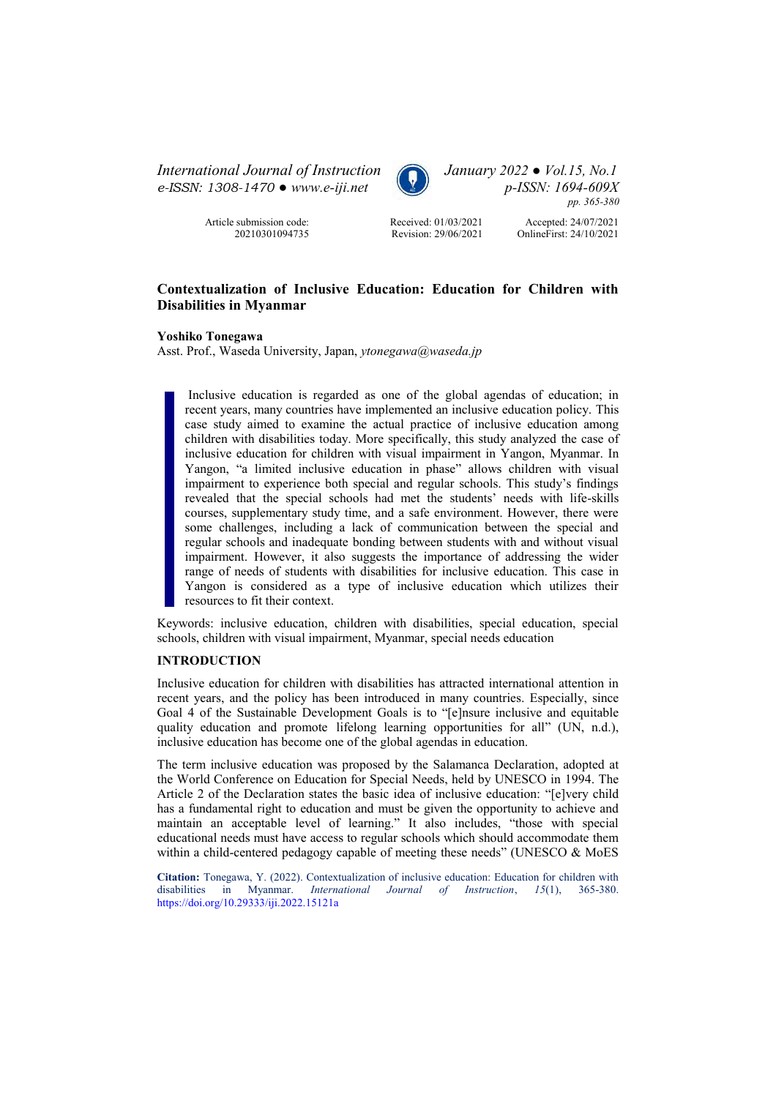*International Journal of Instruction January 2022 ● Vol.15, No.1 e-ISSN: 1308-1470 ● [www.e-iji.net](http://www.e-iji.net/) p-ISSN: 1694-609X*



*pp. 365-380*

Article submission code: 20210301094735 Received: 01/03/2021 Revision: 29/06/2021

Accepted: 24/07/2021 OnlineFirst: 24/10/2021

# **Contextualization of Inclusive Education: Education for Children with Disabilities in Myanmar**

**Yoshiko Tonegawa** 

Asst. Prof., Waseda University, Japan, *ytonegawa@waseda.jp*

Inclusive education is regarded as one of the global agendas of education; in recent years, many countries have implemented an inclusive education policy. This case study aimed to examine the actual practice of inclusive education among children with disabilities today. More specifically, this study analyzed the case of inclusive education for children with visual impairment in Yangon, Myanmar. In Yangon, "a limited inclusive education in phase" allows children with visual impairment to experience both special and regular schools. This study's findings revealed that the special schools had met the students' needs with life-skills courses, supplementary study time, and a safe environment. However, there were some challenges, including a lack of communication between the special and regular schools and inadequate bonding between students with and without visual impairment. However, it also suggests the importance of addressing the wider range of needs of students with disabilities for inclusive education. This case in Yangon is considered as a type of inclusive education which utilizes their resources to fit their context.

Keywords: inclusive education, children with disabilities, special education, special schools, children with visual impairment, Myanmar, special needs education

# **INTRODUCTION**

Inclusive education for children with disabilities has attracted international attention in recent years, and the policy has been introduced in many countries. Especially, since Goal 4 of the Sustainable Development Goals is to "[e]nsure inclusive and equitable quality education and promote lifelong learning opportunities for all" (UN, n.d.), inclusive education has become one of the global agendas in education.

The term inclusive education was proposed by the Salamanca Declaration, adopted at the World Conference on Education for Special Needs, held by UNESCO in 1994. The Article 2 of the Declaration states the basic idea of inclusive education: "[e]very child has a fundamental right to education and must be given the opportunity to achieve and maintain an acceptable level of learning." It also includes, "those with special educational needs must have access to regular schools which should accommodate them within a child-centered pedagogy capable of meeting these needs" (UNESCO & MoES

**Citation:** Tonegawa, Y. (2022). Contextualization of inclusive education: Education for children with disabilities in Myanmar. *International Journal of Instruction*, *15*(1), 365-380. <https://doi.org/10.29333/iji.2022.15121a>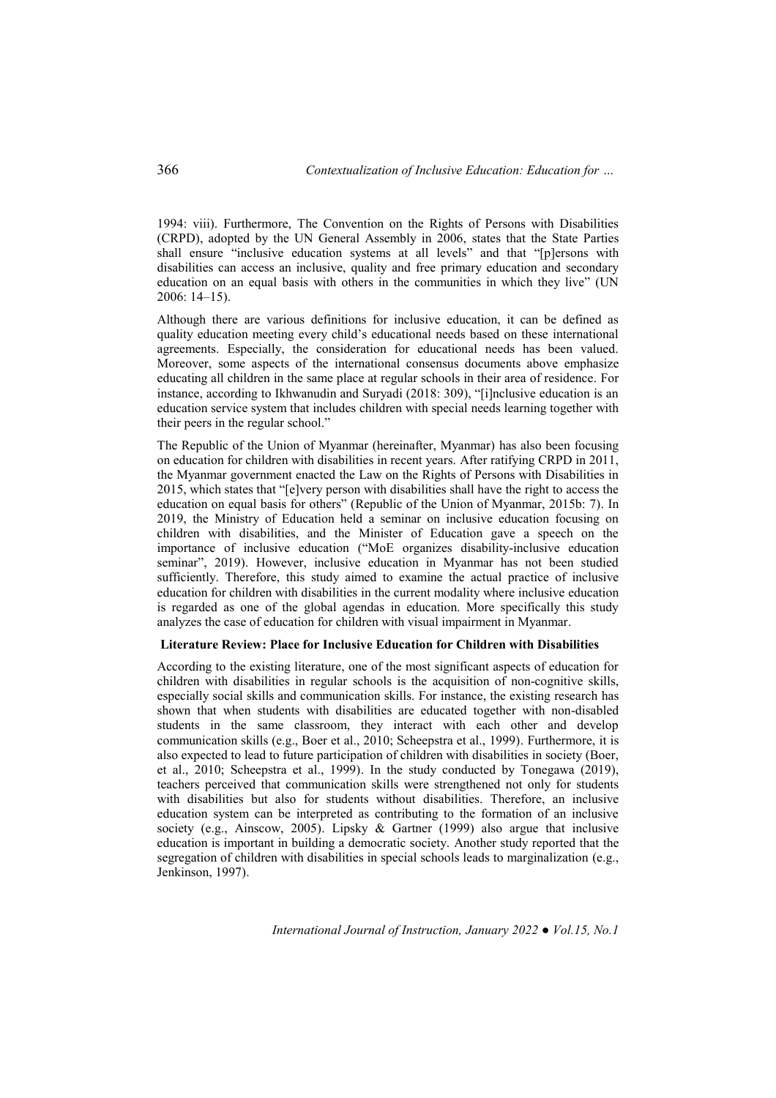1994: viii). Furthermore, The Convention on the Rights of Persons with Disabilities (CRPD), adopted by the UN General Assembly in 2006, states that the State Parties shall ensure "inclusive education systems at all levels" and that "[p]ersons with disabilities can access an inclusive, quality and free primary education and secondary education on an equal basis with others in the communities in which they live" (UN 2006: 14–15).

Although there are various definitions for inclusive education, it can be defined as quality education meeting every child's educational needs based on these international agreements. Especially, the consideration for educational needs has been valued. Moreover, some aspects of the international consensus documents above emphasize educating all children in the same place at regular schools in their area of residence. For instance, according to Ikhwanudin and Suryadi (2018: 309), "[i]nclusive education is an education service system that includes children with special needs learning together with their peers in the regular school."

The Republic of the Union of Myanmar (hereinafter, Myanmar) has also been focusing on education for children with disabilities in recent years. After ratifying CRPD in 2011, the Myanmar government enacted the Law on the Rights of Persons with Disabilities in 2015, which states that "[e]very person with disabilities shall have the right to access the education on equal basis for others" (Republic of the Union of Myanmar, 2015b: 7). In 2019, the Ministry of Education held a seminar on inclusive education focusing on children with disabilities, and the Minister of Education gave a speech on the importance of inclusive education ("MoE organizes disability-inclusive education seminar", 2019). However, inclusive education in Myanmar has not been studied sufficiently. Therefore, this study aimed to examine the actual practice of inclusive education for children with disabilities in the current modality where inclusive education is regarded as one of the global agendas in education. More specifically this study analyzes the case of education for children with visual impairment in Myanmar.

#### **Literature Review: Place for Inclusive Education for Children with Disabilities**

According to the existing literature, one of the most significant aspects of education for children with disabilities in regular schools is the acquisition of non-cognitive skills, especially social skills and communication skills. For instance, the existing research has shown that when students with disabilities are educated together with non-disabled students in the same classroom, they interact with each other and develop communication skills (e.g., Boer et al., 2010; Scheepstra et al., 1999). Furthermore, it is also expected to lead to future participation of children with disabilities in society (Boer, et al., 2010; Scheepstra et al., 1999). In the study conducted by Tonegawa (2019), teachers perceived that communication skills were strengthened not only for students with disabilities but also for students without disabilities. Therefore, an inclusive education system can be interpreted as contributing to the formation of an inclusive society (e.g., Ainscow, 2005). Lipsky & Gartner (1999) also argue that inclusive education is important in building a democratic society. Another study reported that the segregation of children with disabilities in special schools leads to marginalization (e.g., Jenkinson, 1997).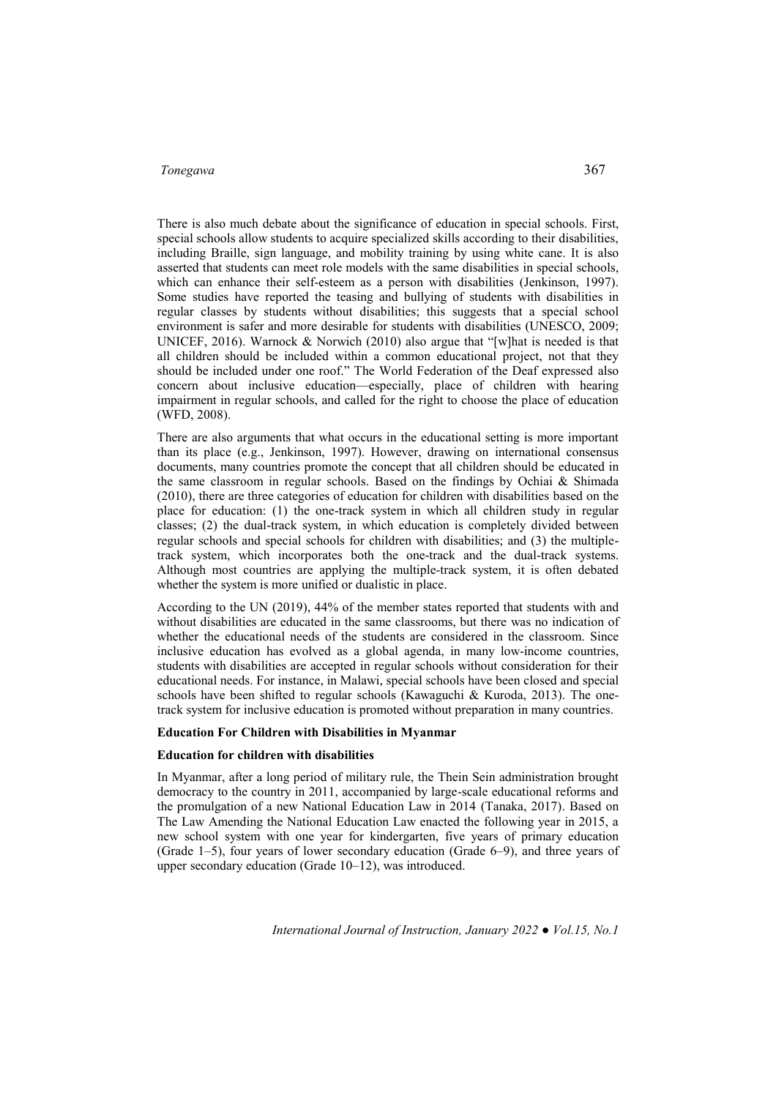There is also much debate about the significance of education in special schools. First, special schools allow students to acquire specialized skills according to their disabilities, including Braille, sign language, and mobility training by using white cane. It is also asserted that students can meet role models with the same disabilities in special schools, which can enhance their self-esteem as a person with disabilities (Jenkinson, 1997). Some studies have reported the teasing and bullying of students with disabilities in regular classes by students without disabilities; this suggests that a special school environment is safer and more desirable for students with disabilities (UNESCO, 2009; UNICEF, 2016). Warnock & Norwich (2010) also argue that "[w]hat is needed is that all children should be included within a common educational project, not that they should be included under one roof." The World Federation of the Deaf expressed also concern about inclusive education—especially, place of children with hearing impairment in regular schools, and called for the right to choose the place of education (WFD, 2008).

There are also arguments that what occurs in the educational setting is more important than its place (e.g., Jenkinson, 1997). However, drawing on international consensus documents, many countries promote the concept that all children should be educated in the same classroom in regular schools. Based on the findings by Ochiai & Shimada (2010), there are three categories of education for children with disabilities based on the place for education: (1) the one-track system in which all children study in regular classes; (2) the dual-track system, in which education is completely divided between regular schools and special schools for children with disabilities; and (3) the multipletrack system, which incorporates both the one-track and the dual-track systems. Although most countries are applying the multiple-track system, it is often debated whether the system is more unified or dualistic in place.

According to the UN (2019), 44% of the member states reported that students with and without disabilities are educated in the same classrooms, but there was no indication of whether the educational needs of the students are considered in the classroom. Since inclusive education has evolved as a global agenda, in many low-income countries, students with disabilities are accepted in regular schools without consideration for their educational needs. For instance, in Malawi, special schools have been closed and special schools have been shifted to regular schools (Kawaguchi & Kuroda, 2013). The onetrack system for inclusive education is promoted without preparation in many countries.

# **Education For Children with Disabilities in Myanmar**

#### **Education for children with disabilities**

In Myanmar, after a long period of military rule, the Thein Sein administration brought democracy to the country in 2011, accompanied by large-scale educational reforms and the promulgation of a new National Education Law in 2014 (Tanaka, 2017). Based on The Law Amending the National Education Law enacted the following year in 2015, a new school system with one year for kindergarten, five years of primary education (Grade 1–5), four years of lower secondary education (Grade 6–9), and three years of upper secondary education (Grade 10–12), was introduced.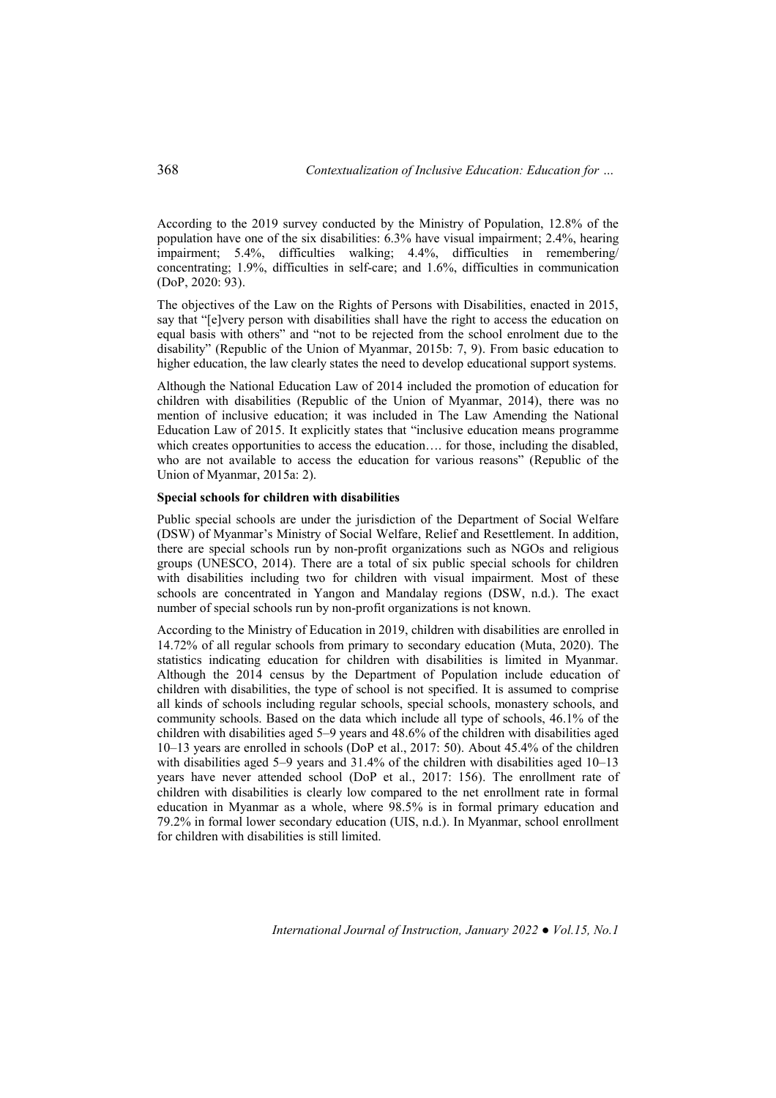According to the 2019 survey conducted by the Ministry of Population, 12.8% of the population have one of the six disabilities: 6.3% have visual impairment; 2.4%, hearing impairment; 5.4%, difficulties walking; 4.4%, difficulties in remembering/ concentrating; 1.9%, difficulties in self-care; and 1.6%, difficulties in communication (DoP, 2020: 93).

The objectives of the Law on the Rights of Persons with Disabilities, enacted in 2015, say that "[e]very person with disabilities shall have the right to access the education on equal basis with others" and "not to be rejected from the school enrolment due to the disability" (Republic of the Union of Myanmar, 2015b: 7, 9). From basic education to higher education, the law clearly states the need to develop educational support systems.

Although the National Education Law of 2014 included the promotion of education for children with disabilities (Republic of the Union of Myanmar, 2014), there was no mention of inclusive education; it was included in The Law Amending the National Education Law of 2015. It explicitly states that "inclusive education means programme which creates opportunities to access the education.... for those, including the disabled, who are not available to access the education for various reasons" (Republic of the Union of Myanmar, 2015a: 2).

#### **Special schools for children with disabilities**

Public special schools are under the jurisdiction of the Department of Social Welfare (DSW) of Myanmar's Ministry of Social Welfare, Relief and Resettlement. In addition, there are special schools run by non-profit organizations such as NGOs and religious groups (UNESCO, 2014). There are a total of six public special schools for children with disabilities including two for children with visual impairment. Most of these schools are concentrated in Yangon and Mandalay regions (DSW, n.d.). The exact number of special schools run by non-profit organizations is not known.

According to the Ministry of Education in 2019, children with disabilities are enrolled in 14.72% of all regular schools from primary to secondary education (Muta, 2020). The statistics indicating education for children with disabilities is limited in Myanmar. Although the 2014 census by the Department of Population include education of children with disabilities, the type of school is not specified. It is assumed to comprise all kinds of schools including regular schools, special schools, monastery schools, and community schools. Based on the data which include all type of schools, 46.1% of the children with disabilities aged 5–9 years and 48.6% of the children with disabilities aged 10–13 years are enrolled in schools (DoP et al., 2017: 50). About 45.4% of the children with disabilities aged 5–9 years and 31.4% of the children with disabilities aged 10–13 years have never attended school (DoP et al., 2017: 156). The enrollment rate of children with disabilities is clearly low compared to the net enrollment rate in formal education in Myanmar as a whole, where 98.5% is in formal primary education and 79.2% in formal lower secondary education (UIS, n.d.). In Myanmar, school enrollment for children with disabilities is still limited.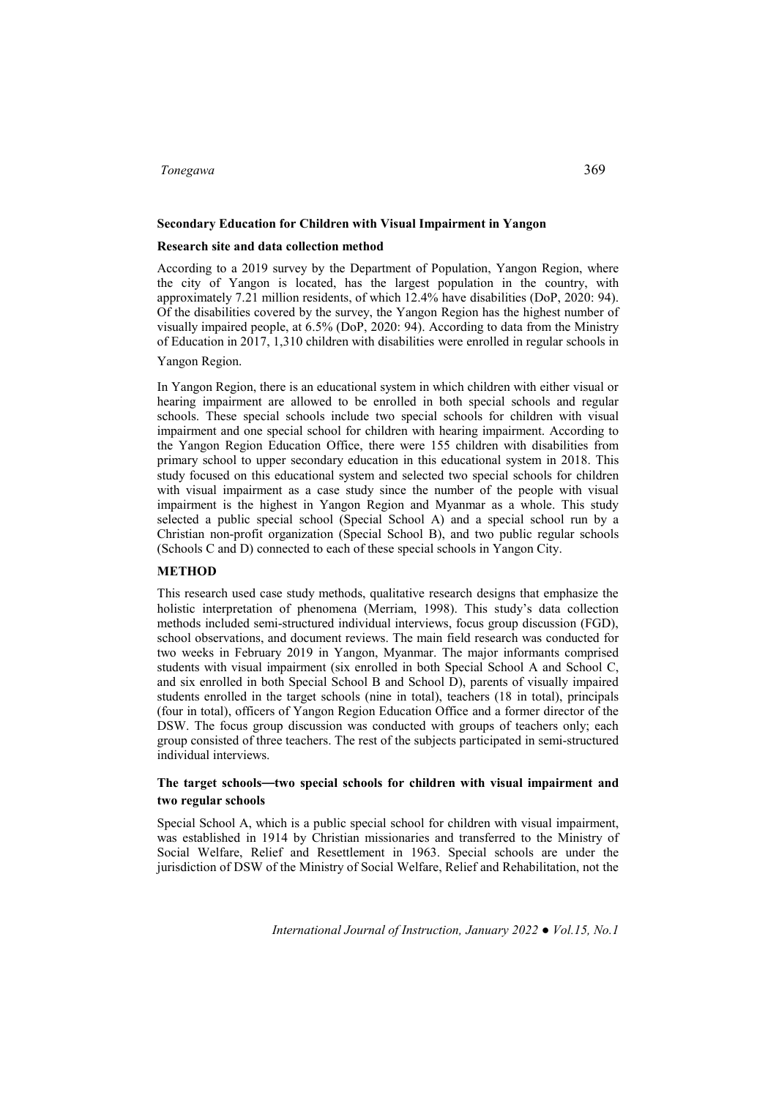### **Secondary Education for Children with Visual Impairment in Yangon**

#### **Research site and data collection method**

According to a 2019 survey by the Department of Population, Yangon Region, where the city of Yangon is located, has the largest population in the country, with approximately 7.21 million residents, of which 12.4% have disabilities (DoP, 2020: 94). Of the disabilities covered by the survey, the Yangon Region has the highest number of visually impaired people, at 6.5% (DoP, 2020: 94). According to data from the Ministry of Education in 2017, 1,310 children with disabilities were enrolled in regular schools in

# Yangon Region.

In Yangon Region, there is an educational system in which children with either visual or hearing impairment are allowed to be enrolled in both special schools and regular schools. These special schools include two special schools for children with visual impairment and one special school for children with hearing impairment. According to the Yangon Region Education Office, there were 155 children with disabilities from primary school to upper secondary education in this educational system in 2018. This study focused on this educational system and selected two special schools for children with visual impairment as a case study since the number of the people with visual impairment is the highest in Yangon Region and Myanmar as a whole. This study selected a public special school (Special School A) and a special school run by a Christian non-profit organization (Special School B), and two public regular schools (Schools C and D) connected to each of these special schools in Yangon City.

#### **METHOD**

This research used case study methods, qualitative research designs that emphasize the holistic interpretation of phenomena (Merriam, 1998). This study's data collection methods included semi-structured individual interviews, focus group discussion (FGD), school observations, and document reviews. The main field research was conducted for two weeks in February 2019 in Yangon, Myanmar. The major informants comprised students with visual impairment (six enrolled in both Special School A and School C, and six enrolled in both Special School B and School D), parents of visually impaired students enrolled in the target schools (nine in total), teachers (18 in total), principals (four in total), officers of Yangon Region Education Office and a former director of the DSW. The focus group discussion was conducted with groups of teachers only; each group consisted of three teachers. The rest of the subjects participated in semi-structured individual interviews.

# **The target schools—two special schools for children with visual impairment and two regular schools**

Special School A, which is a public special school for children with visual impairment, was established in 1914 by Christian missionaries and transferred to the Ministry of Social Welfare, Relief and Resettlement in 1963. Special schools are under the jurisdiction of DSW of the Ministry of Social Welfare, Relief and Rehabilitation, not the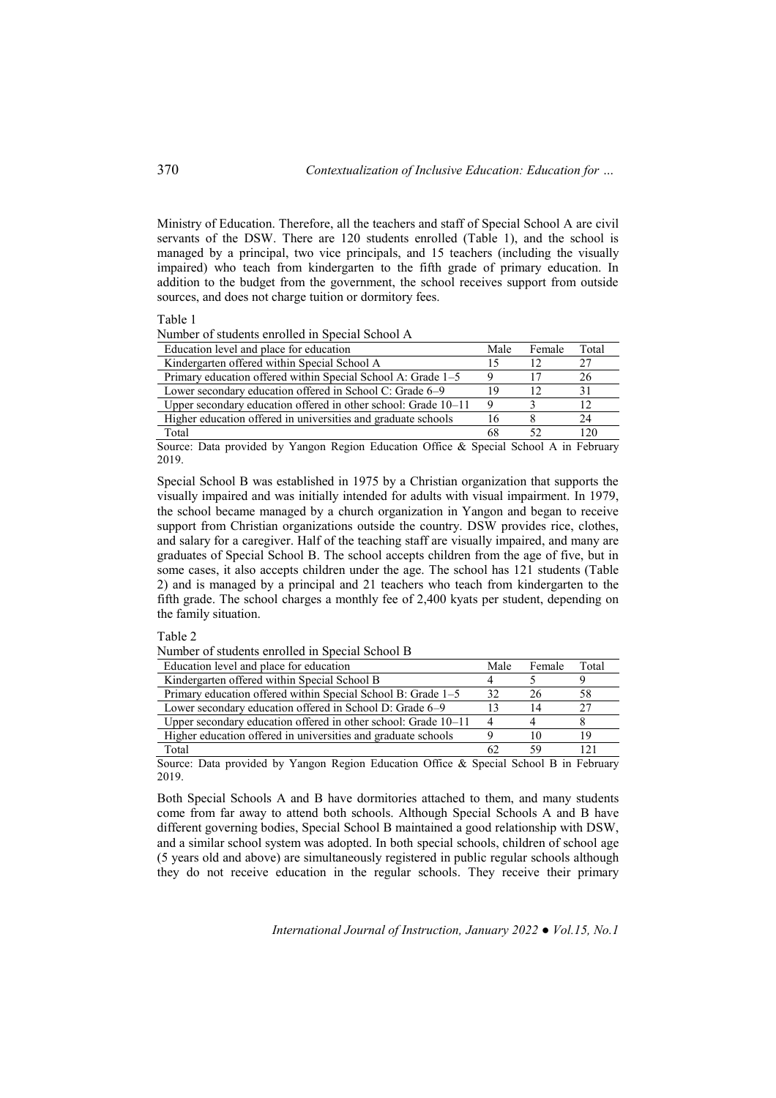Ministry of Education. Therefore, all the teachers and staff of Special School A are civil servants of the DSW. There are 120 students enrolled (Table 1), and the school is managed by a principal, two vice principals, and 15 teachers (including the visually impaired) who teach from kindergarten to the fifth grade of primary education. In addition to the budget from the government, the school receives support from outside sources, and does not charge tuition or dormitory fees.

#### Table 1

Number of students enrolled in Special School A

| Education level and place for education                        | Male        | Female | Total |
|----------------------------------------------------------------|-------------|--------|-------|
| Kindergarten offered within Special School A                   | 15          |        | 27    |
| Primary education offered within Special School A: Grade 1–5   | Q           |        | 26    |
| Lower secondary education offered in School C: Grade 6–9       | 19          | 12     | 31    |
| Upper secondary education offered in other school: Grade 10–11 | $\mathbf Q$ |        |       |
| Higher education offered in universities and graduate schools  | 16          |        | 24    |
| Total                                                          | 68          |        | 120   |

Source: Data provided by Yangon Region Education Office & Special School A in February 2019.

Special School B was established in 1975 by a Christian organization that supports the visually impaired and was initially intended for adults with visual impairment. In 1979, the school became managed by a church organization in Yangon and began to receive support from Christian organizations outside the country. DSW provides rice, clothes, and salary for a caregiver. Half of the teaching staff are visually impaired, and many are graduates of Special School B. The school accepts children from the age of five, but in some cases, it also accepts children under the age. The school has 121 students (Table 2) and is managed by a principal and 21 teachers who teach from kindergarten to the fifth grade. The school charges a monthly fee of 2,400 kyats per student, depending on the family situation.

Table 2

Number of students enrolled in Special School B

| Education level and place for education                          | Male           | Female | Total |
|------------------------------------------------------------------|----------------|--------|-------|
| Kindergarten offered within Special School B                     |                |        |       |
| Primary education offered within Special School B: Grade 1–5     | 32             | 26     | 58    |
| Lower secondary education offered in School D: Grade 6–9         | 13             | 14     | つフ    |
| Upper secondary education offered in other school: Grade $10-11$ | $\overline{4}$ |        |       |
| Higher education offered in universities and graduate schools    |                |        | ۱9    |
| Total                                                            | 62             | 59     |       |

Source: Data provided by Yangon Region Education Office & Special School B in February 2019.

Both Special Schools A and B have dormitories attached to them, and many students come from far away to attend both schools. Although Special Schools A and B have different governing bodies, Special School B maintained a good relationship with DSW, and a similar school system was adopted. In both special schools, children of school age (5 years old and above) are simultaneously registered in public regular schools although they do not receive education in the regular schools. They receive their primary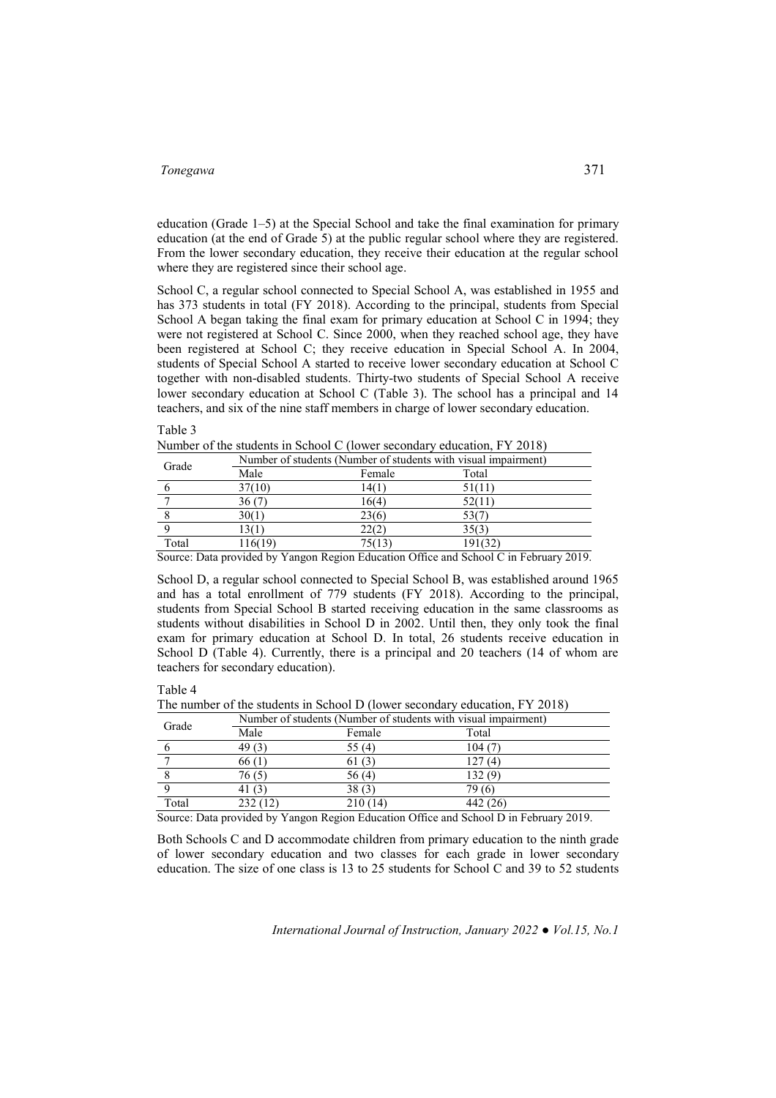education (Grade 1–5) at the Special School and take the final examination for primary education (at the end of Grade 5) at the public regular school where they are registered. From the lower secondary education, they receive their education at the regular school where they are registered since their school age.

School C, a regular school connected to Special School A, was established in 1955 and has 373 students in total (FY 2018). According to the principal, students from Special School A began taking the final exam for primary education at School C in 1994; they were not registered at School C. Since 2000, when they reached school age, they have been registered at School C; they receive education in Special School A. In 2004, students of Special School A started to receive lower secondary education at School C together with non-disabled students. Thirty-two students of Special School A receive lower secondary education at School C (Table 3). The school has a principal and 14 teachers, and six of the nine staff members in charge of lower secondary education.

Table 3

Number of the students in School C (lower secondary education, FY 2018)

| Grade                          |         | Number of students (Number of students with visual impairment) |            |                      |
|--------------------------------|---------|----------------------------------------------------------------|------------|----------------------|
|                                | Male    | Female                                                         | Total      |                      |
|                                | 37(10)  | 14(1)                                                          | 51(11)     |                      |
|                                | 36 (7)  | 16(4)                                                          | 52(11)     |                      |
|                                | 30(1)   | 23(6)                                                          |            |                      |
|                                |         | 22(2)                                                          | 35(3)      |                      |
| Total                          | 116(19) | 75(13)                                                         | 191(32)    |                      |
| $\sim$ $\sim$<br>$\sim$ $\sim$ | .       | $\sim \alpha r$<br>$-1$<br>$\sim$                              | 101 101 mi | $\sim$ $\sim$ $\sim$ |

Source: Data provided by Yangon Region Education Office and School C in February 2019.

School D, a regular school connected to Special School B, was established around 1965 and has a total enrollment of 779 students (FY 2018). According to the principal, students from Special School B started receiving education in the same classrooms as students without disabilities in School D in 2002. Until then, they only took the final exam for primary education at School D. In total, 26 students receive education in School D (Table 4). Currently, there is a principal and 20 teachers (14 of whom are teachers for secondary education).

Table 4

The number of the students in School D (lower secondary education, FY 2018)

| Grade |                   | Number of students (Number of students with visual impairment) |          |  |
|-------|-------------------|----------------------------------------------------------------|----------|--|
|       | Male              | Female                                                         | Total    |  |
|       | 49 <sub>(3)</sub> | 55 (4)                                                         | 104(7)   |  |
|       | 66(1)             | 61(3)                                                          | 127(4)   |  |
|       | 76(5)             | 56(4)                                                          | 132(9)   |  |
|       | 41 (3)            | 38(3)                                                          | 79 (6)   |  |
| Total | 232(12)           | 210(14)                                                        | 442 (26) |  |

Source: Data provided by Yangon Region Education Office and School D in February 2019.

Both Schools C and D accommodate children from primary education to the ninth grade of lower secondary education and two classes for each grade in lower secondary education. The size of one class is 13 to 25 students for School C and 39 to 52 students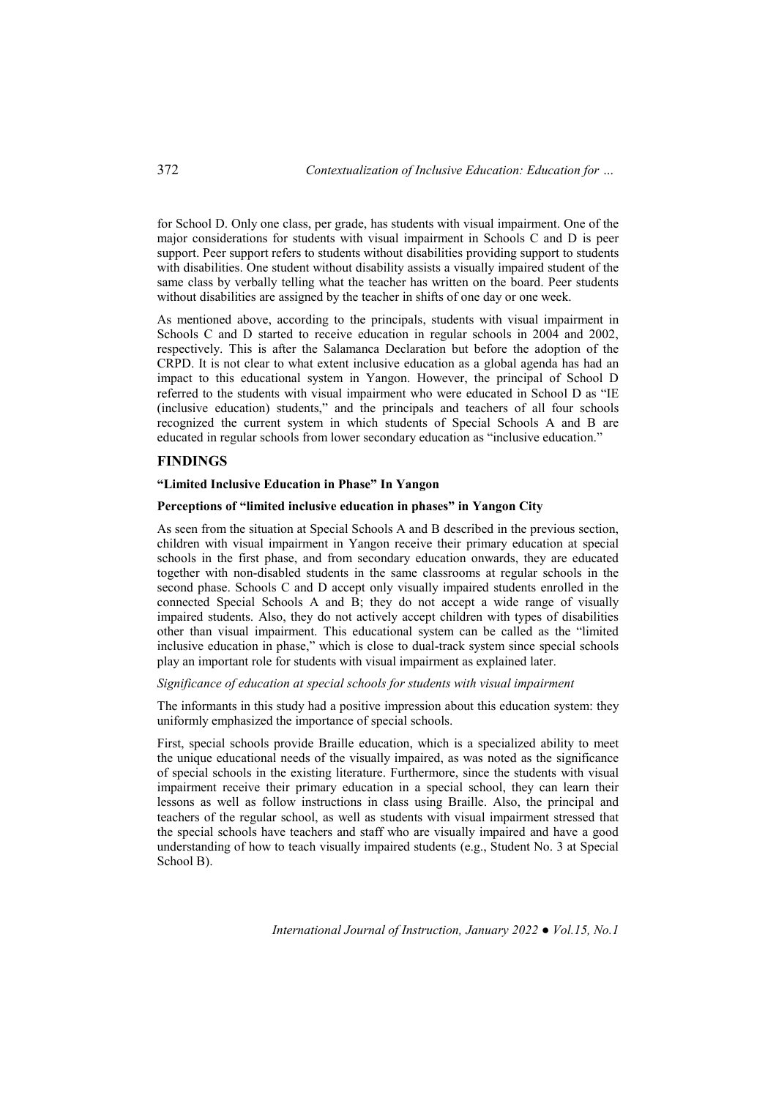for School D. Only one class, per grade, has students with visual impairment. One of the major considerations for students with visual impairment in Schools C and D is peer support. Peer support refers to students without disabilities providing support to students with disabilities. One student without disability assists a visually impaired student of the same class by verbally telling what the teacher has written on the board. Peer students without disabilities are assigned by the teacher in shifts of one day or one week.

As mentioned above, according to the principals, students with visual impairment in Schools C and D started to receive education in regular schools in 2004 and 2002, respectively. This is after the Salamanca Declaration but before the adoption of the CRPD. It is not clear to what extent inclusive education as a global agenda has had an impact to this educational system in Yangon. However, the principal of School D referred to the students with visual impairment who were educated in School D as "IE (inclusive education) students," and the principals and teachers of all four schools recognized the current system in which students of Special Schools A and B are educated in regular schools from lower secondary education as "inclusive education."

# **FINDINGS**

# **"Limited Inclusive Education in Phase" In Yangon**

## **Perceptions of "limited inclusive education in phases" in Yangon City**

As seen from the situation at Special Schools A and B described in the previous section, children with visual impairment in Yangon receive their primary education at special schools in the first phase, and from secondary education onwards, they are educated together with non-disabled students in the same classrooms at regular schools in the second phase. Schools C and D accept only visually impaired students enrolled in the connected Special Schools A and B; they do not accept a wide range of visually impaired students. Also, they do not actively accept children with types of disabilities other than visual impairment. This educational system can be called as the "limited inclusive education in phase," which is close to dual-track system since special schools play an important role for students with visual impairment as explained later.

#### *Significance of education at special schools for students with visual impairment*

The informants in this study had a positive impression about this education system: they uniformly emphasized the importance of special schools.

First, special schools provide Braille education, which is a specialized ability to meet the unique educational needs of the visually impaired, as was noted as the significance of special schools in the existing literature. Furthermore, since the students with visual impairment receive their primary education in a special school, they can learn their lessons as well as follow instructions in class using Braille. Also, the principal and teachers of the regular school, as well as students with visual impairment stressed that the special schools have teachers and staff who are visually impaired and have a good understanding of how to teach visually impaired students (e.g., Student No. 3 at Special School B).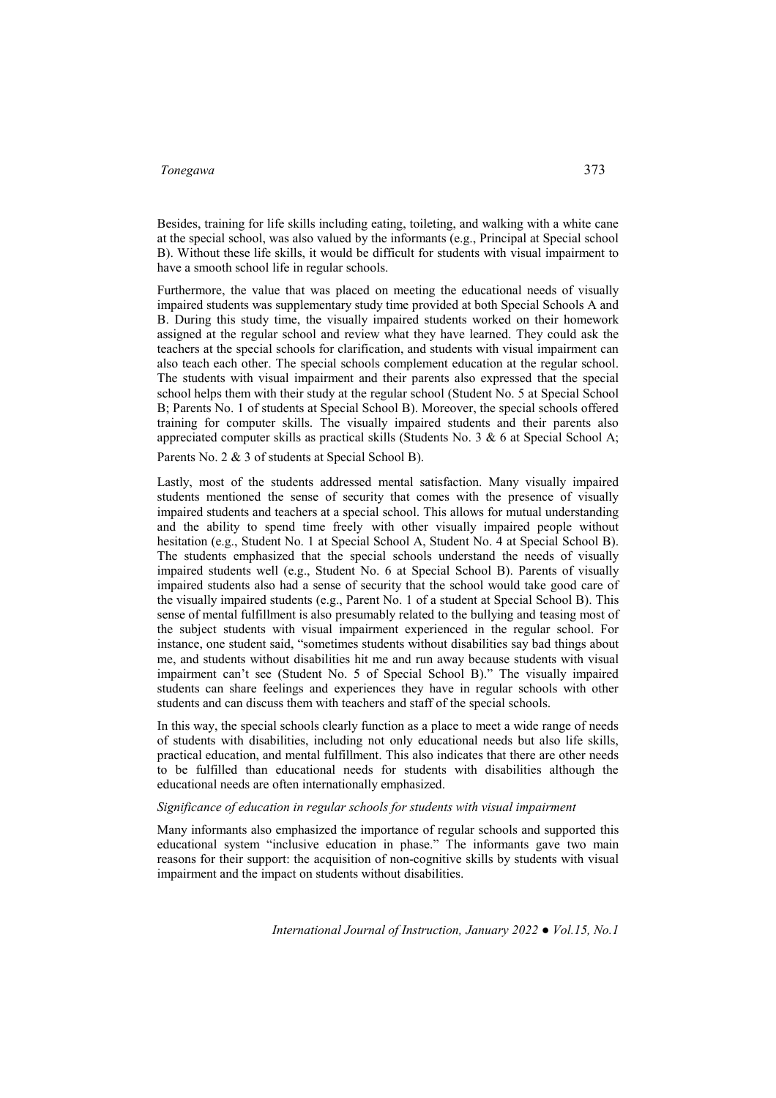Besides, training for life skills including eating, toileting, and walking with a white cane at the special school, was also valued by the informants (e.g., Principal at Special school B). Without these life skills, it would be difficult for students with visual impairment to have a smooth school life in regular schools.

Furthermore, the value that was placed on meeting the educational needs of visually impaired students was supplementary study time provided at both Special Schools A and B. During this study time, the visually impaired students worked on their homework assigned at the regular school and review what they have learned. They could ask the teachers at the special schools for clarification, and students with visual impairment can also teach each other. The special schools complement education at the regular school. The students with visual impairment and their parents also expressed that the special school helps them with their study at the regular school (Student No. 5 at Special School B; Parents No. 1 of students at Special School B). Moreover, the special schools offered training for computer skills. The visually impaired students and their parents also appreciated computer skills as practical skills (Students No. 3  $\&$  6 at Special School A;

Parents No. 2 & 3 of students at Special School B).

Lastly, most of the students addressed mental satisfaction. Many visually impaired students mentioned the sense of security that comes with the presence of visually impaired students and teachers at a special school. This allows for mutual understanding and the ability to spend time freely with other visually impaired people without hesitation (e.g., Student No. 1 at Special School A, Student No. 4 at Special School B). The students emphasized that the special schools understand the needs of visually impaired students well (e.g., Student No. 6 at Special School B). Parents of visually impaired students also had a sense of security that the school would take good care of the visually impaired students (e.g., Parent No. 1 of a student at Special School B). This sense of mental fulfillment is also presumably related to the bullying and teasing most of the subject students with visual impairment experienced in the regular school. For instance, one student said, "sometimes students without disabilities say bad things about me, and students without disabilities hit me and run away because students with visual impairment can't see (Student No. 5 of Special School B)." The visually impaired students can share feelings and experiences they have in regular schools with other students and can discuss them with teachers and staff of the special schools.

In this way, the special schools clearly function as a place to meet a wide range of needs of students with disabilities, including not only educational needs but also life skills, practical education, and mental fulfillment. This also indicates that there are other needs to be fulfilled than educational needs for students with disabilities although the educational needs are often internationally emphasized.

#### *Significance of education in regular schools for students with visual impairment*

Many informants also emphasized the importance of regular schools and supported this educational system "inclusive education in phase." The informants gave two main reasons for their support: the acquisition of non-cognitive skills by students with visual impairment and the impact on students without disabilities.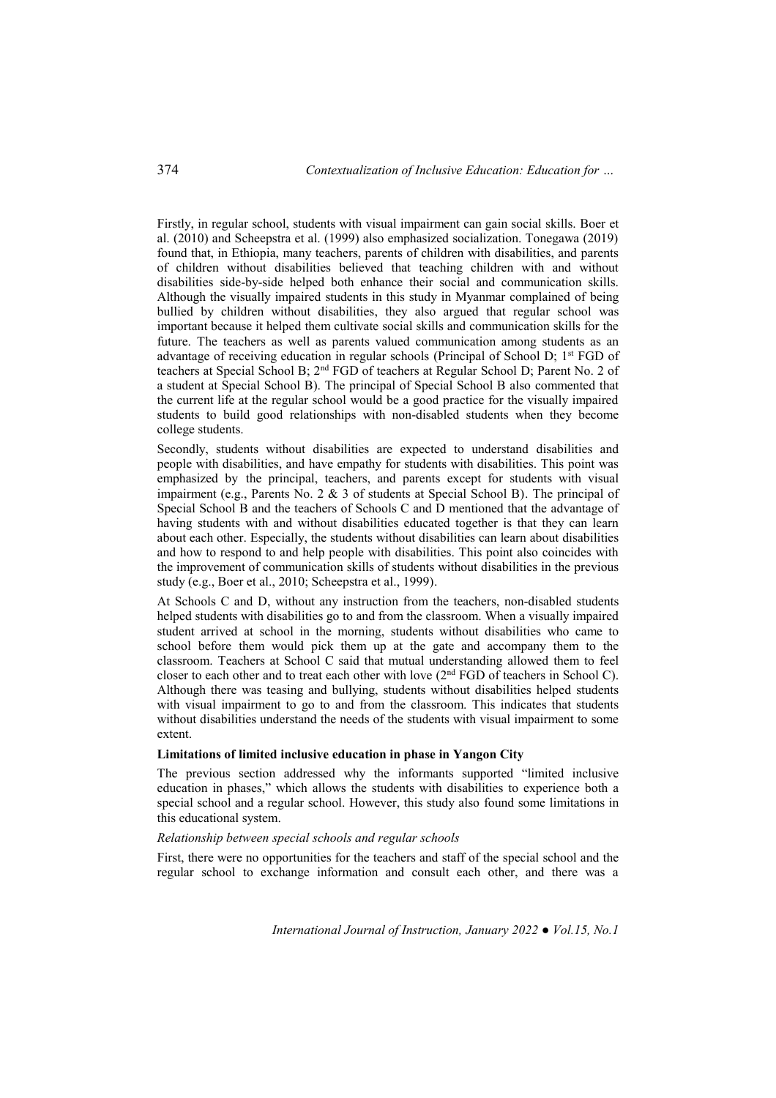Firstly, in regular school, students with visual impairment can gain social skills. Boer et al. (2010) and Scheepstra et al. (1999) also emphasized socialization. Tonegawa (2019) found that, in Ethiopia, many teachers, parents of children with disabilities, and parents of children without disabilities believed that teaching children with and without disabilities side-by-side helped both enhance their social and communication skills. Although the visually impaired students in this study in Myanmar complained of being bullied by children without disabilities, they also argued that regular school was important because it helped them cultivate social skills and communication skills for the future. The teachers as well as parents valued communication among students as an advantage of receiving education in regular schools (Principal of School D; 1st FGD of teachers at Special School B; 2nd FGD of teachers at Regular School D; Parent No. 2 of a student at Special School B). The principal of Special School B also commented that the current life at the regular school would be a good practice for the visually impaired students to build good relationships with non-disabled students when they become college students.

Secondly, students without disabilities are expected to understand disabilities and people with disabilities, and have empathy for students with disabilities. This point was emphasized by the principal, teachers, and parents except for students with visual impairment (e.g., Parents No. 2  $\&$  3 of students at Special School B). The principal of Special School B and the teachers of Schools C and D mentioned that the advantage of having students with and without disabilities educated together is that they can learn about each other. Especially, the students without disabilities can learn about disabilities and how to respond to and help people with disabilities. This point also coincides with the improvement of communication skills of students without disabilities in the previous study (e.g., Boer et al., 2010; Scheepstra et al., 1999).

At Schools C and D, without any instruction from the teachers, non-disabled students helped students with disabilities go to and from the classroom. When a visually impaired student arrived at school in the morning, students without disabilities who came to school before them would pick them up at the gate and accompany them to the classroom. Teachers at School C said that mutual understanding allowed them to feel closer to each other and to treat each other with love (2nd FGD of teachers in School C). Although there was teasing and bullying, students without disabilities helped students with visual impairment to go to and from the classroom. This indicates that students without disabilities understand the needs of the students with visual impairment to some extent.

#### **Limitations of limited inclusive education in phase in Yangon City**

The previous section addressed why the informants supported "limited inclusive education in phases," which allows the students with disabilities to experience both a special school and a regular school. However, this study also found some limitations in this educational system.

#### *Relationship between special schools and regular schools*

First, there were no opportunities for the teachers and staff of the special school and the regular school to exchange information and consult each other, and there was a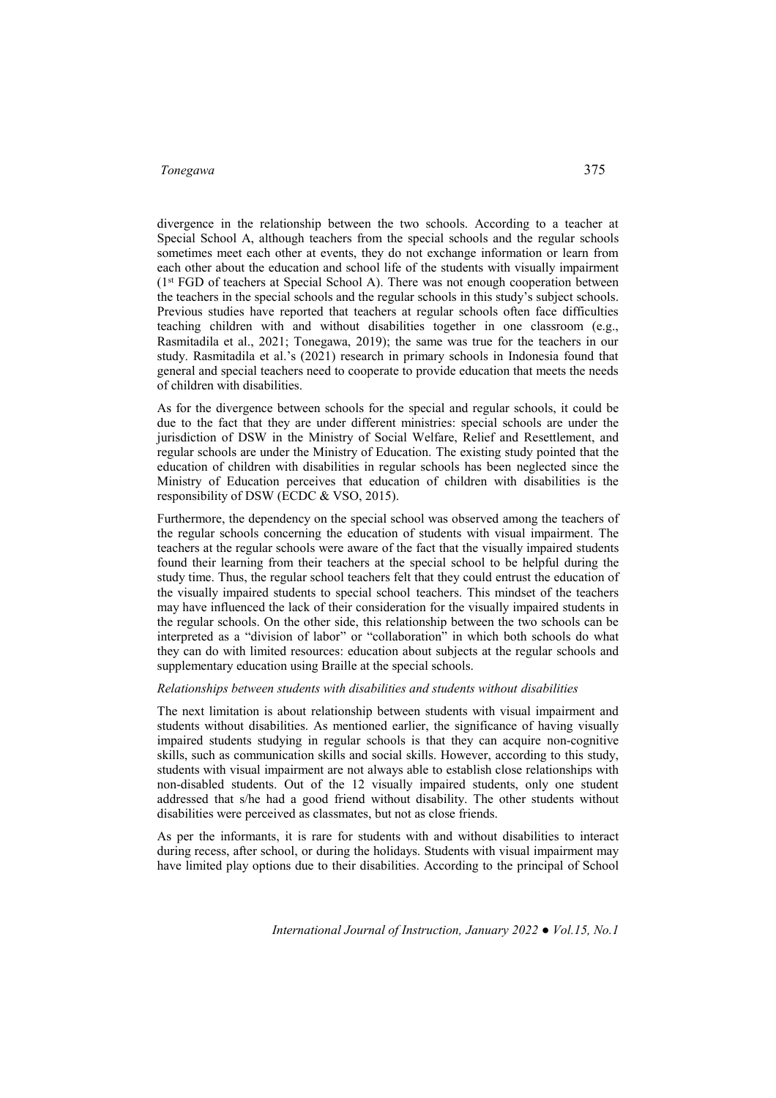divergence in the relationship between the two schools. According to a teacher at Special School A, although teachers from the special schools and the regular schools sometimes meet each other at events, they do not exchange information or learn from each other about the education and school life of the students with visually impairment (1st FGD of teachers at Special School A). There was not enough cooperation between the teachers in the special schools and the regular schools in this study's subject schools. Previous studies have reported that teachers at regular schools often face difficulties teaching children with and without disabilities together in one classroom (e.g., Rasmitadila et al., 2021; Tonegawa, 2019); the same was true for the teachers in our study. Rasmitadila et al.'s (2021) research in primary schools in Indonesia found that general and special teachers need to cooperate to provide education that meets the needs of children with disabilities.

As for the divergence between schools for the special and regular schools, it could be due to the fact that they are under different ministries: special schools are under the jurisdiction of DSW in the Ministry of Social Welfare, Relief and Resettlement, and regular schools are under the Ministry of Education. The existing study pointed that the education of children with disabilities in regular schools has been neglected since the Ministry of Education perceives that education of children with disabilities is the responsibility of DSW (ECDC & VSO, 2015).

Furthermore, the dependency on the special school was observed among the teachers of the regular schools concerning the education of students with visual impairment. The teachers at the regular schools were aware of the fact that the visually impaired students found their learning from their teachers at the special school to be helpful during the study time. Thus, the regular school teachers felt that they could entrust the education of the visually impaired students to special school teachers. This mindset of the teachers may have influenced the lack of their consideration for the visually impaired students in the regular schools. On the other side, this relationship between the two schools can be interpreted as a "division of labor" or "collaboration" in which both schools do what they can do with limited resources: education about subjects at the regular schools and supplementary education using Braille at the special schools.

#### *Relationships between students with disabilities and students without disabilities*

The next limitation is about relationship between students with visual impairment and students without disabilities. As mentioned earlier, the significance of having visually impaired students studying in regular schools is that they can acquire non-cognitive skills, such as communication skills and social skills. However, according to this study, students with visual impairment are not always able to establish close relationships with non-disabled students. Out of the 12 visually impaired students, only one student addressed that s/he had a good friend without disability. The other students without disabilities were perceived as classmates, but not as close friends.

As per the informants, it is rare for students with and without disabilities to interact during recess, after school, or during the holidays. Students with visual impairment may have limited play options due to their disabilities. According to the principal of School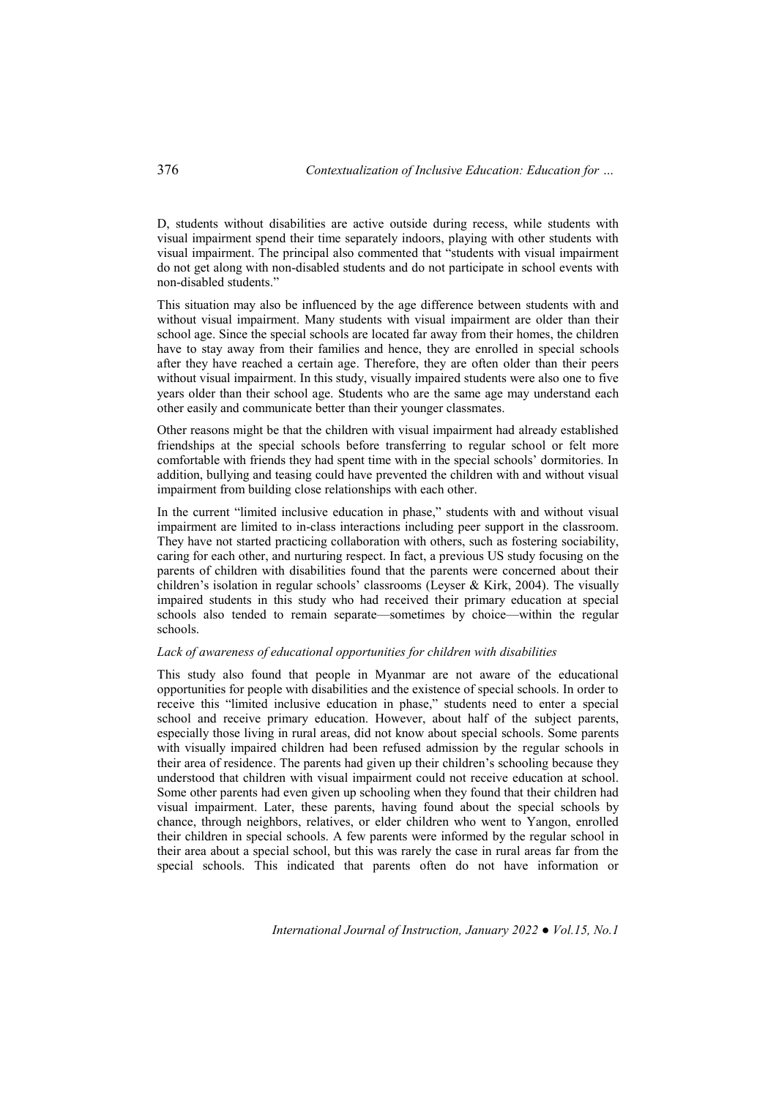D, students without disabilities are active outside during recess, while students with visual impairment spend their time separately indoors, playing with other students with visual impairment. The principal also commented that "students with visual impairment do not get along with non-disabled students and do not participate in school events with non-disabled students."

This situation may also be influenced by the age difference between students with and without visual impairment. Many students with visual impairment are older than their school age. Since the special schools are located far away from their homes, the children have to stay away from their families and hence, they are enrolled in special schools after they have reached a certain age. Therefore, they are often older than their peers without visual impairment. In this study, visually impaired students were also one to five years older than their school age. Students who are the same age may understand each other easily and communicate better than their younger classmates.

Other reasons might be that the children with visual impairment had already established friendships at the special schools before transferring to regular school or felt more comfortable with friends they had spent time with in the special schools' dormitories. In addition, bullying and teasing could have prevented the children with and without visual impairment from building close relationships with each other.

In the current "limited inclusive education in phase," students with and without visual impairment are limited to in-class interactions including peer support in the classroom. They have not started practicing collaboration with others, such as fostering sociability, caring for each other, and nurturing respect. In fact, a previous US study focusing on the parents of children with disabilities found that the parents were concerned about their children's isolation in regular schools' classrooms (Leyser & Kirk, 2004). The visually impaired students in this study who had received their primary education at special schools also tended to remain separate—sometimes by choice—within the regular schools.

## *Lack of awareness of educational opportunities for children with disabilities*

This study also found that people in Myanmar are not aware of the educational opportunities for people with disabilities and the existence of special schools. In order to receive this "limited inclusive education in phase," students need to enter a special school and receive primary education. However, about half of the subject parents, especially those living in rural areas, did not know about special schools. Some parents with visually impaired children had been refused admission by the regular schools in their area of residence. The parents had given up their children's schooling because they understood that children with visual impairment could not receive education at school. Some other parents had even given up schooling when they found that their children had visual impairment. Later, these parents, having found about the special schools by chance, through neighbors, relatives, or elder children who went to Yangon, enrolled their children in special schools. A few parents were informed by the regular school in their area about a special school, but this was rarely the case in rural areas far from the special schools. This indicated that parents often do not have information or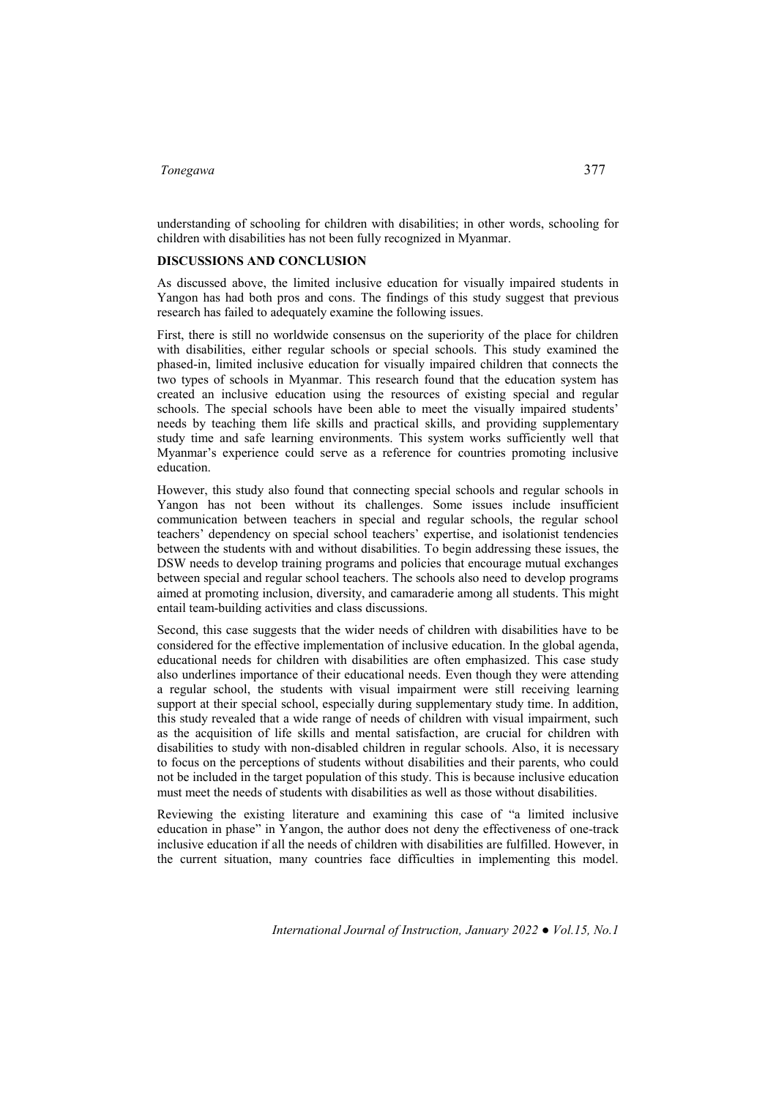understanding of schooling for children with disabilities; in other words, schooling for children with disabilities has not been fully recognized in Myanmar.

## **DISCUSSIONS AND CONCLUSION**

As discussed above, the limited inclusive education for visually impaired students in Yangon has had both pros and cons. The findings of this study suggest that previous research has failed to adequately examine the following issues.

First, there is still no worldwide consensus on the superiority of the place for children with disabilities, either regular schools or special schools. This study examined the phased-in, limited inclusive education for visually impaired children that connects the two types of schools in Myanmar. This research found that the education system has created an inclusive education using the resources of existing special and regular schools. The special schools have been able to meet the visually impaired students' needs by teaching them life skills and practical skills, and providing supplementary study time and safe learning environments. This system works sufficiently well that Myanmar's experience could serve as a reference for countries promoting inclusive education.

However, this study also found that connecting special schools and regular schools in Yangon has not been without its challenges. Some issues include insufficient communication between teachers in special and regular schools, the regular school teachers' dependency on special school teachers' expertise, and isolationist tendencies between the students with and without disabilities. To begin addressing these issues, the DSW needs to develop training programs and policies that encourage mutual exchanges between special and regular school teachers. The schools also need to develop programs aimed at promoting inclusion, diversity, and camaraderie among all students. This might entail team-building activities and class discussions.

Second, this case suggests that the wider needs of children with disabilities have to be considered for the effective implementation of inclusive education. In the global agenda, educational needs for children with disabilities are often emphasized. This case study also underlines importance of their educational needs. Even though they were attending a regular school, the students with visual impairment were still receiving learning support at their special school, especially during supplementary study time. In addition, this study revealed that a wide range of needs of children with visual impairment, such as the acquisition of life skills and mental satisfaction, are crucial for children with disabilities to study with non-disabled children in regular schools. Also, it is necessary to focus on the perceptions of students without disabilities and their parents, who could not be included in the target population of this study. This is because inclusive education must meet the needs of students with disabilities as well as those without disabilities.

Reviewing the existing literature and examining this case of "a limited inclusive education in phase" in Yangon, the author does not deny the effectiveness of one-track inclusive education if all the needs of children with disabilities are fulfilled. However, in the current situation, many countries face difficulties in implementing this model.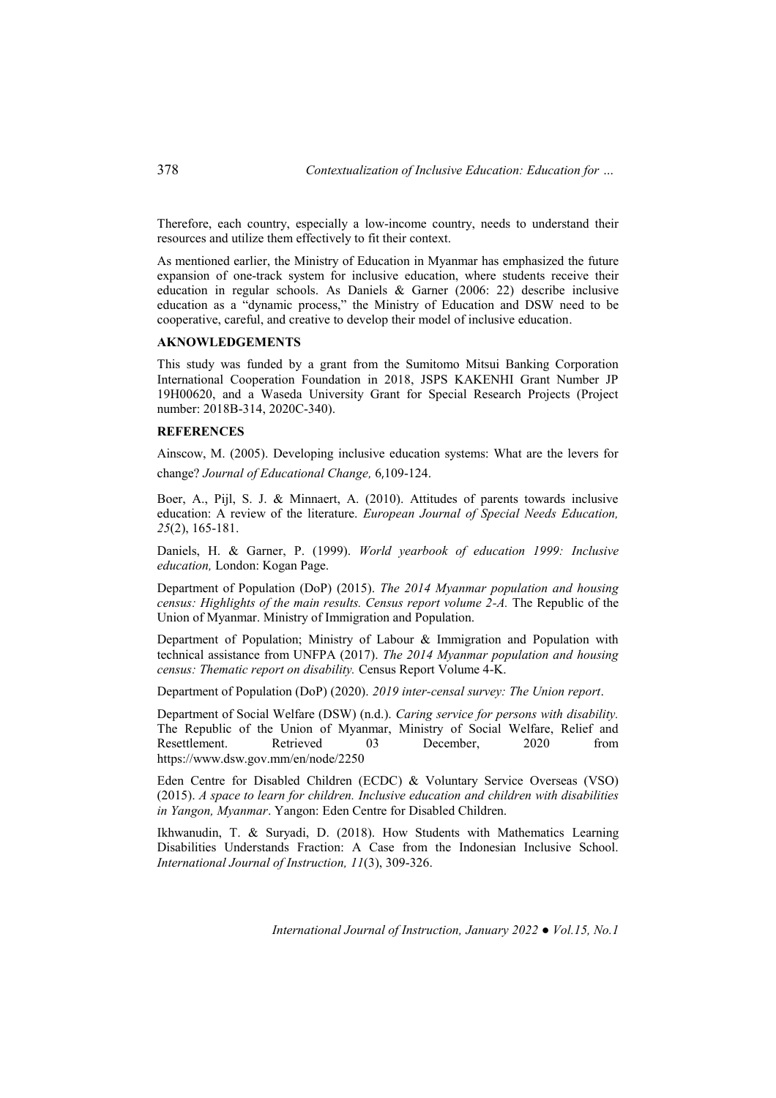Therefore, each country, especially a low-income country, needs to understand their resources and utilize them effectively to fit their context.

As mentioned earlier, the Ministry of Education in Myanmar has emphasized the future expansion of one-track system for inclusive education, where students receive their education in regular schools. As Daniels & Garner (2006: 22) describe inclusive education as a "dynamic process," the Ministry of Education and DSW need to be cooperative, careful, and creative to develop their model of inclusive education.

#### **AKNOWLEDGEMENTS**

This study was funded by a grant from the Sumitomo Mitsui Banking Corporation International Cooperation Foundation in 2018, JSPS KAKENHI Grant Number JP 19H00620, and a Waseda University Grant for Special Research Projects (Project number: 2018B-314, 2020C-340).

#### **REFERENCES**

Ainscow, M. (2005). Developing inclusive education systems: What are the levers for change? *Journal of Educational Change,* 6,109-124.

Boer, A., Pijl, S. J. & Minnaert, A. (2010). Attitudes of parents towards inclusive education: A review of the literature. *European Journal of Special Needs Education, 25*(2), 165-181.

Daniels, H. & Garner, P. (1999). *World yearbook of education 1999: Inclusive education,* London: Kogan Page.

Department of Population (DoP) (2015). *The 2014 Myanmar population and housing census: Highlights of the main results. Census report volume 2-A.* The Republic of the Union of Myanmar. Ministry of Immigration and Population.

Department of Population; Ministry of Labour & Immigration and Population with technical assistance from UNFPA (2017). *The 2014 Myanmar population and housing census: Thematic report on disability.* Census Report Volume 4-K.

Department of Population (DoP) (2020). *2019 inter-censal survey: The Union report*.

Department of Social Welfare (DSW) (n.d.). *Caring service for persons with disability.*  The Republic of the Union of Myanmar, Ministry of Social Welfare, Relief and Resettlement. Retrieved 03 December, 2020 from https://www.dsw.gov.mm/en/node/2250

Eden Centre for Disabled Children (ECDC) & Voluntary Service Overseas (VSO) (2015). *A space to learn for children. Inclusive education and children with disabilities in Yangon, Myanmar*. Yangon: Eden Centre for Disabled Children.

Ikhwanudin, T. & Suryadi, D. (2018). How Students with Mathematics Learning Disabilities Understands Fraction: A Case from the Indonesian Inclusive School. *International Journal of Instruction, 11*(3), 309-326.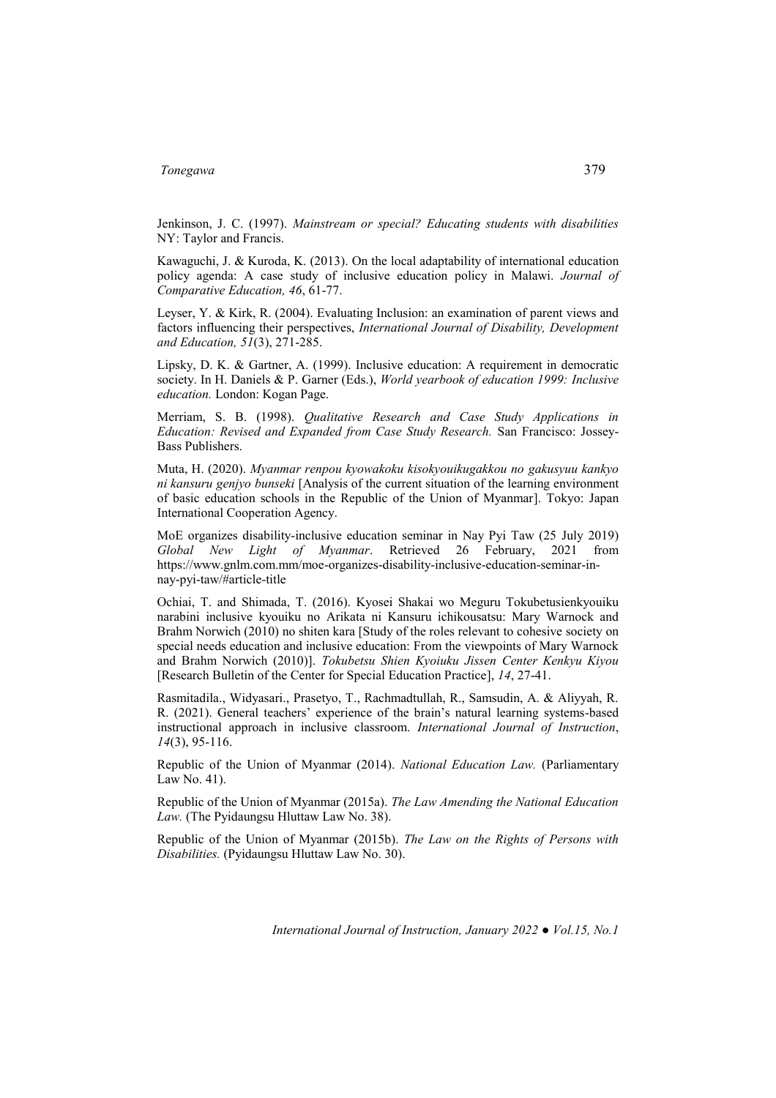Jenkinson, J. C. (1997). *Mainstream or special? Educating students with disabilities*  NY: Taylor and Francis.

Kawaguchi, J. & Kuroda, K. (2013). On the local adaptability of international education policy agenda: A case study of inclusive education policy in Malawi. *Journal of Comparative Education, 46*, 61-77.

Leyser, Y. & Kirk, R. (2004). Evaluating Inclusion: an examination of parent views and factors influencing their perspectives, *International Journal of Disability, Development and Education, 51*(3), 271-285.

Lipsky, D. K. & Gartner, A. (1999). Inclusive education: A requirement in democratic society. In H. Daniels & P. Garner (Eds.), *World yearbook of education 1999: Inclusive education.* London: Kogan Page.

Merriam, S. B. (1998). *Qualitative Research and Case Study Applications in Education: Revised and Expanded from Case Study Research.* San Francisco: Jossey-Bass Publishers.

Muta, H. (2020). *Myanmar renpou kyowakoku kisokyouikugakkou no gakusyuu kankyo ni kansuru genjyo bunseki* [Analysis of the current situation of the learning environment of basic education schools in the Republic of the Union of Myanmar]. Tokyo: Japan International Cooperation Agency.

MoE organizes disability-inclusive education seminar in Nay Pyi Taw (25 July 2019) *Global New Light of Myanmar*. Retrieved 26 February, 2021 from https://www.gnlm.com.mm/moe-organizes-disability-inclusive-education-seminar-innay-pyi-taw/#article-title

Ochiai, T. and Shimada, T. (2016). Kyosei Shakai wo Meguru Tokubetusienkyouiku narabini inclusive kyouiku no Arikata ni Kansuru ichikousatsu: Mary Warnock and Brahm Norwich (2010) no shiten kara [Study of the roles relevant to cohesive society on special needs education and inclusive education: From the viewpoints of Mary Warnock and Brahm Norwich (2010)]. *Tokubetsu Shien Kyoiuku Jissen Center Kenkyu Kiyou*  [Research Bulletin of the Center for Special Education Practice], *14*, 27-41.

Rasmitadila., Widyasari., Prasetyo, T., Rachmadtullah, R., Samsudin, A. & Aliyyah, R. R. (2021). General teachers' experience of the brain's natural learning systems-based instructional approach in inclusive classroom. *International Journal of Instruction*, *14*(3), 95-116.

Republic of the Union of Myanmar (2014). *National Education Law.* (Parliamentary Law No. 41).

Republic of the Union of Myanmar (2015a). *The Law Amending the National Education*  Law. (The Pyidaungsu Hluttaw Law No. 38).

Republic of the Union of Myanmar (2015b). *The Law on the Rights of Persons with Disabilities.* (Pyidaungsu Hluttaw Law No. 30).